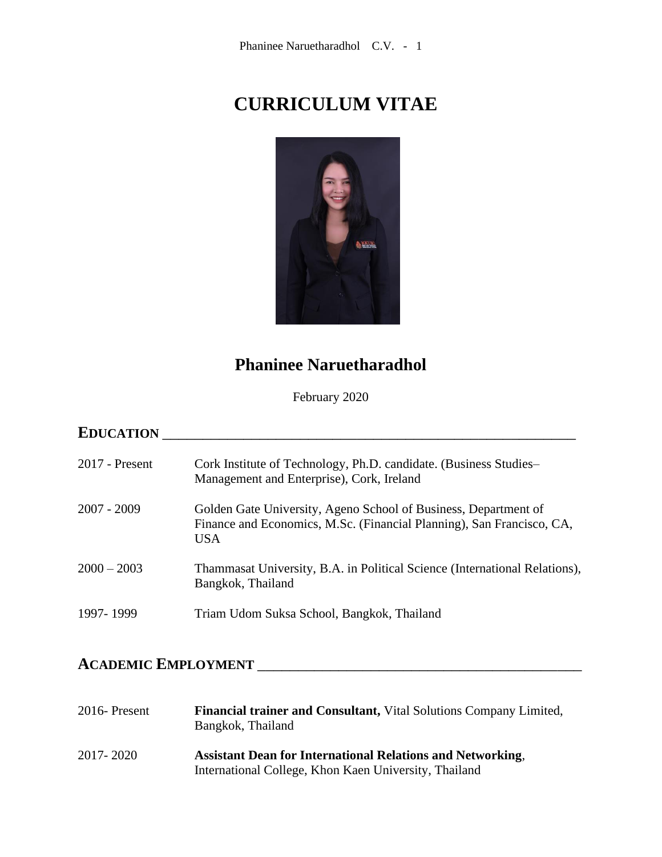# **CURRICULUM VITAE**



# **Phaninee Naruetharadhol**

February 2020

# **EDUCATION** \_\_\_\_\_\_\_\_\_\_\_\_\_\_\_\_\_\_\_\_\_\_\_\_\_\_\_\_\_\_\_\_\_\_\_\_\_\_\_\_\_\_\_\_\_\_\_\_\_\_\_

| $2017$ - Present | Cork Institute of Technology, Ph.D. candidate. (Business Studies-<br>Management and Enterprise), Cork, Ireland                                         |
|------------------|--------------------------------------------------------------------------------------------------------------------------------------------------------|
| $2007 - 2009$    | Golden Gate University, Ageno School of Business, Department of<br>Finance and Economics, M.Sc. (Financial Planning), San Francisco, CA,<br><b>USA</b> |
| $2000 - 2003$    | Thammasat University, B.A. in Political Science (International Relations),<br>Bangkok, Thailand                                                        |
| 1997-1999        | Triam Udom Suksa School, Bangkok, Thailand                                                                                                             |

# **ACADEMIC EMPLOYMENT** \_\_\_\_\_\_\_\_\_\_\_\_\_\_\_\_\_\_\_\_\_\_\_\_\_\_\_\_\_\_\_\_\_\_\_\_\_\_\_\_

| 2016-Present | Financial trainer and Consultant, Vital Solutions Company Limited,<br>Bangkok, Thailand                                    |
|--------------|----------------------------------------------------------------------------------------------------------------------------|
| 2017-2020    | <b>Assistant Dean for International Relations and Networking.</b><br>International College, Khon Kaen University, Thailand |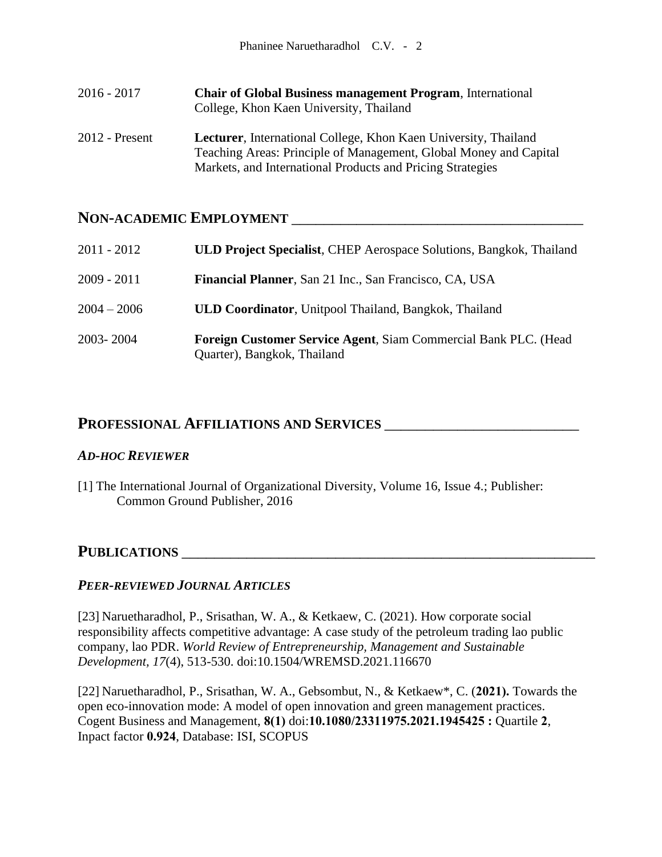| $2016 - 2017$    | <b>Chair of Global Business management Program, International</b><br>College, Khon Kaen University, Thailand                                                                                               |
|------------------|------------------------------------------------------------------------------------------------------------------------------------------------------------------------------------------------------------|
| $2012$ - Present | <b>Lecturer</b> , International College, Khon Kaen University, Thailand<br>Teaching Areas: Principle of Management, Global Money and Capital<br>Markets, and International Products and Pricing Strategies |

# **NON-ACADEMIC EMPLOYMENT** \_\_\_\_\_\_\_\_\_\_\_\_\_\_\_\_\_\_\_\_\_\_\_\_\_\_\_\_\_\_\_\_\_\_\_\_

| $2011 - 2012$ | <b>ULD Project Specialist, CHEP Aerospace Solutions, Bangkok, Thailand</b>                     |
|---------------|------------------------------------------------------------------------------------------------|
| $2009 - 2011$ | Financial Planner, San 21 Inc., San Francisco, CA, USA                                         |
| $2004 - 2006$ | <b>ULD Coordinator</b> , Unitpool Thailand, Bangkok, Thailand                                  |
| 2003-2004     | Foreign Customer Service Agent, Siam Commercial Bank PLC. (Head<br>Quarter), Bangkok, Thailand |

## **PROFESSIONAL AFFILIATIONS AND SERVICES** \_\_\_\_\_\_\_\_\_\_\_\_\_\_\_\_\_\_\_\_\_\_\_\_

#### *AD-HOC REVIEWER*

[1] The International Journal of Organizational Diversity, Volume 16, Issue 4.; Publisher: Common Ground Publisher, 2016

### **PUBLICATIONS** \_\_\_\_\_\_\_\_\_\_\_\_\_\_\_\_\_\_\_\_\_\_\_\_\_\_\_\_\_\_\_\_\_\_\_\_\_\_\_\_\_\_\_\_\_\_\_\_\_\_\_

#### *PEER-REVIEWED JOURNAL ARTICLES*

[23] Naruetharadhol, P., Srisathan, W. A., & Ketkaew, C. (2021). How corporate social responsibility affects competitive advantage: A case study of the petroleum trading lao public company, lao PDR. *World Review of Entrepreneurship, Management and Sustainable Development, 17*(4), 513-530. doi:10.1504/WREMSD.2021.116670

[22] Naruetharadhol, P., Srisathan, W. A., Gebsombut, N., & Ketkaew\*, C. (**2021).** Towards the open eco-innovation mode: A model of open innovation and green management practices. Cogent Business and Management, **8(1)** doi:**10.1080/23311975.2021.1945425 :** Quartile **2**, Inpact factor **0.924**, Database: ISI, SCOPUS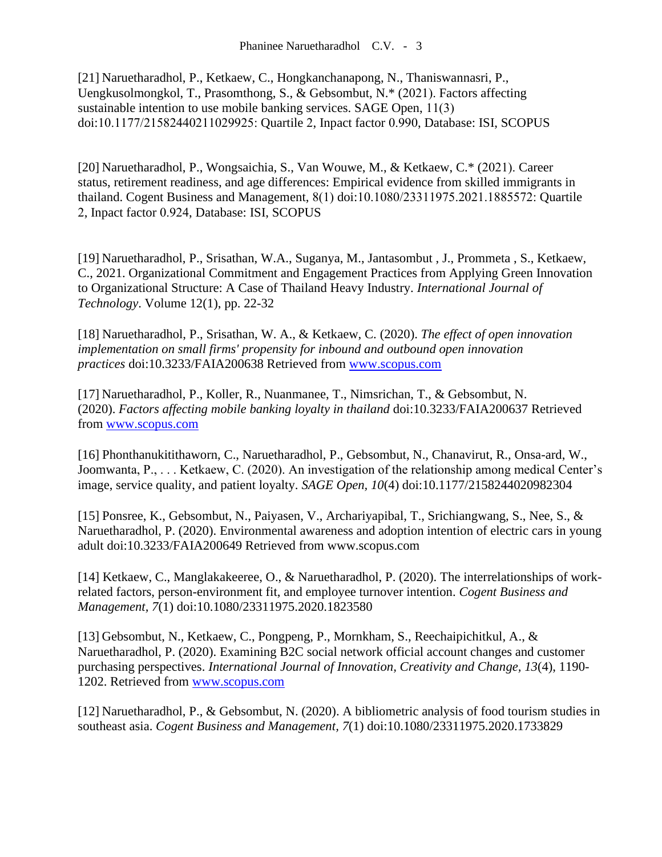[21] Naruetharadhol, P., Ketkaew, C., Hongkanchanapong, N., Thaniswannasri, P., Uengkusolmongkol, T., Prasomthong, S., & Gebsombut, N.\* (2021). Factors affecting sustainable intention to use mobile banking services. SAGE Open, 11(3) doi:10.1177/21582440211029925: Quartile 2, Inpact factor 0.990, Database: ISI, SCOPUS

[20] Naruetharadhol, P., Wongsaichia, S., Van Wouwe, M., & Ketkaew, C.\* (2021). Career status, retirement readiness, and age differences: Empirical evidence from skilled immigrants in thailand. Cogent Business and Management, 8(1) doi:10.1080/23311975.2021.1885572: Quartile 2, Inpact factor 0.924, Database: ISI, SCOPUS

[19] Naruetharadhol, P., Srisathan, W.A., Suganya, M., Jantasombut , J., Prommeta , S., Ketkaew, C., 2021. Organizational Commitment and Engagement Practices from Applying Green Innovation to Organizational Structure: A Case of Thailand Heavy Industry. *International Journal of Technology*. Volume 12(1), pp. 22-32

[18] Naruetharadhol, P., Srisathan, W. A., & Ketkaew, C. (2020). *The effect of open innovation implementation on small firms' propensity for inbound and outbound open innovation practices* doi:10.3233/FAIA200638 Retrieved from [www.scopus.com](http://www.scopus.com/)

[17] Naruetharadhol, P., Koller, R., Nuanmanee, T., Nimsrichan, T., & Gebsombut, N. (2020). *Factors affecting mobile banking loyalty in thailand* doi:10.3233/FAIA200637 Retrieved from [www.scopus.com](http://www.scopus.com/)

[16] Phonthanukitithaworn, C., Naruetharadhol, P., Gebsombut, N., Chanavirut, R., Onsa-ard, W., Joomwanta, P., . . . Ketkaew, C. (2020). An investigation of the relationship among medical Center's image, service quality, and patient loyalty. *SAGE Open, 10*(4) doi:10.1177/2158244020982304

[15] Ponsree, K., Gebsombut, N., Paiyasen, V., Archariyapibal, T., Srichiangwang, S., Nee, S., & Naruetharadhol, P. (2020). Environmental awareness and adoption intention of electric cars in young adult doi:10.3233/FAIA200649 Retrieved from www.scopus.com

[14] Ketkaew, C., Manglakakeeree, O., & Naruetharadhol, P. (2020). The interrelationships of workrelated factors, person-environment fit, and employee turnover intention. *Cogent Business and Management, 7*(1) doi:10.1080/23311975.2020.1823580

[13] Gebsombut, N., Ketkaew, C., Pongpeng, P., Mornkham, S., Reechaipichitkul, A., & Naruetharadhol, P. (2020). Examining B2C social network official account changes and customer purchasing perspectives. *International Journal of Innovation, Creativity and Change, 13*(4), 1190- 1202. Retrieved from [www.scopus.com](http://www.scopus.com/)

[12] Naruetharadhol, P., & Gebsombut, N. (2020). A bibliometric analysis of food tourism studies in southeast asia. *Cogent Business and Management, 7*(1) doi:10.1080/23311975.2020.1733829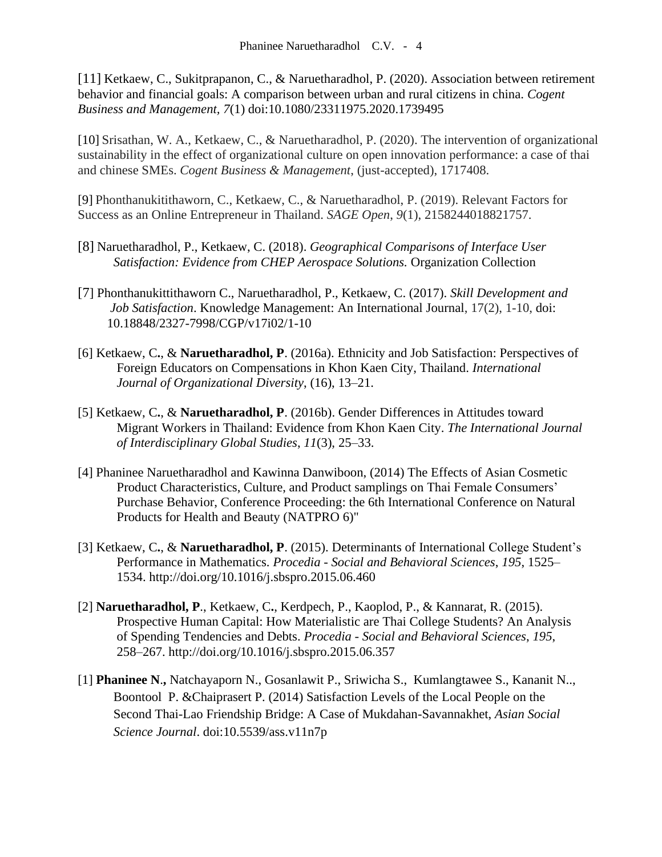[11] Ketkaew, C., Sukitprapanon, C., & Naruetharadhol, P. (2020). Association between retirement behavior and financial goals: A comparison between urban and rural citizens in china. *Cogent Business and Management, 7*(1) doi:10.1080/23311975.2020.1739495

[10] Srisathan, W. A., Ketkaew, C., & Naruetharadhol, P. (2020). The intervention of organizational sustainability in the effect of organizational culture on open innovation performance: a case of thai and chinese SMEs. *Cogent Business & Management*, (just-accepted), 1717408.

[9] Phonthanukitithaworn, C., Ketkaew, C., & Naruetharadhol, P. (2019). Relevant Factors for Success as an Online Entrepreneur in Thailand. *SAGE Open*, *9*(1), 2158244018821757.

- [8] Naruetharadhol, P., Ketkaew, C. (2018). *Geographical Comparisons of Interface User Satisfaction: Evidence from CHEP Aerospace Solutions.* Organization Collection
- [7] Phonthanukittithaworn C., Naruetharadhol, P., Ketkaew, C. (2017). *Skill Development and Job Satisfaction*. Knowledge Management: An International Journal, 17(2), 1-10, doi: 10.18848/2327-7998/CGP/v17i02/1-10
- [6] Ketkaew, C**.**, & **Naruetharadhol, P**. (2016a). Ethnicity and Job Satisfaction: Perspectives of Foreign Educators on Compensations in Khon Kaen City, Thailand. *International Journal of Organizational Diversity*, (16), 13–21.
- [5] Ketkaew, C**.**, & **Naruetharadhol, P**. (2016b). Gender Differences in Attitudes toward Migrant Workers in Thailand: Evidence from Khon Kaen City. *The International Journal of Interdisciplinary Global Studies*, *11*(3), 25–33.
- [4] Phaninee Naruetharadhol and Kawinna Danwiboon, (2014) The Effects of Asian Cosmetic Product Characteristics, Culture, and Product samplings on Thai Female Consumers' Purchase Behavior, Conference Proceeding: the 6th International Conference on Natural Products for Health and Beauty (NATPRO 6)"
- [3] Ketkaew, C**.**, & **Naruetharadhol, P**. (2015). Determinants of International College Student's Performance in Mathematics. *Procedia - Social and Behavioral Sciences*, *195*, 1525– 1534. http://doi.org/10.1016/j.sbspro.2015.06.460
- [2] **Naruetharadhol, P**., Ketkaew, C**.**, Kerdpech, P., Kaoplod, P., & Kannarat, R. (2015). Prospective Human Capital: How Materialistic are Thai College Students? An Analysis of Spending Tendencies and Debts. *Procedia - Social and Behavioral Sciences*, *195*, 258–267. http://doi.org/10.1016/j.sbspro.2015.06.357
- [1] **Phaninee N**.**,** Natchayaporn N., Gosanlawit P., Sriwicha S., Kumlangtawee S., Kananit N.., Boontool P. &Chaiprasert P. (2014) Satisfaction Levels of the Local People on the Second Thai-Lao Friendship Bridge: A Case of Mukdahan-Savannakhet, *Asian Social Science Journal*. doi:10.5539/ass.v11n7p